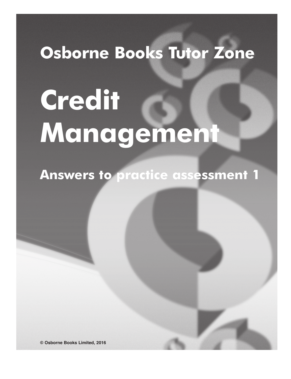# **Osborne Books Tutor Zone**

# **Credit Management**

**Answers to practice assessment 1**

**© Osborne Books Limited, 2016**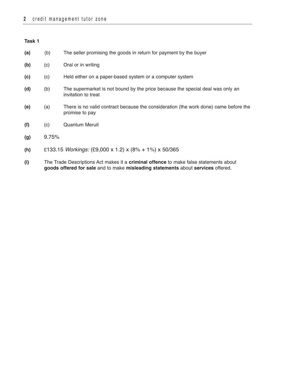**(a)** (b) The seller promising the goods in return for payment by the buyer

**(b)** (c) Oral or in writing

- **(c)** (c) Held either on a paper-based system or a computer system
- **(d)** (b) The supermarket is not bound by the price because the special deal was only an invitation to treat
- **(e)** (a) There is no valid contract because the consideration (the work done) came before the promise to pay
- **(f)** (c) Quantum Meruit
- **(g)** 9.75%
- **(h)** £133.15 Workings: (£9,000 x 1.2) x (8% + 1%) x 50/365
- **(i)** The Trade Descriptions Act makes it a **criminal offence** to make false statements about **goods offered for sale** and to make **misleading statements** about **services** offered.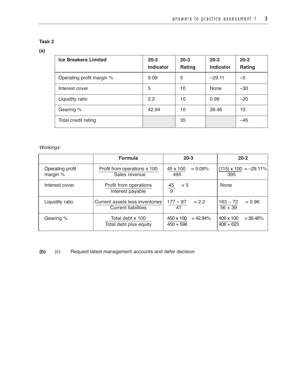# **(a)**

| <b>Ice Breakers Limited</b> | $20 - 3$<br><b>Indicator</b> | $20 - 3$<br><b>Rating</b> | $20 - 2$<br><b>Indicator</b> | $20 - 2$<br>Rating |
|-----------------------------|------------------------------|---------------------------|------------------------------|--------------------|
| Operating profit margin %   | 9.09                         | 5                         | $-29.11$                     | $-5$               |
| Interest cover              | 5                            | 10                        | None                         | $-30$              |
| Liquidity ratio             | 2.2                          | 10                        | 0.96                         | $-20$              |
| Gearing %                   | 42.94                        | 10                        | 39.46                        | 10                 |
| Total credit rating         |                              | 35                        |                              | $-45$              |

# Workings:

|                                | <b>Formula</b>                                         | $20 - 3$                                | $20 - 2$                                |
|--------------------------------|--------------------------------------------------------|-----------------------------------------|-----------------------------------------|
| Operating profit<br>margin $%$ | Profit from operations x 100<br>Sales revenue          | $= 9.09\%$<br>45 x 100<br>495           | $(115) \times 100 = -29.11\%$<br>395    |
| Interest cover                 | Profit from operations<br>Interest payable             | <u>45</u><br>$= 5$<br>9                 | None                                    |
| Liquidity ratio                | Current assets less inventories<br>Current liabilities | $= 2.2$<br>177 – 87<br>41               | $= 0.96$<br>$163 - 72$<br>$56 + 39$     |
| Gearing %                      | Total debt x 100<br>Total debt plus equity             | 450 x 100<br>$= 42.94\%$<br>$450 + 598$ | 406 x 100<br>$= 39.46\%$<br>$406 + 623$ |

**(b)** (c) Request latest management accounts and defer decision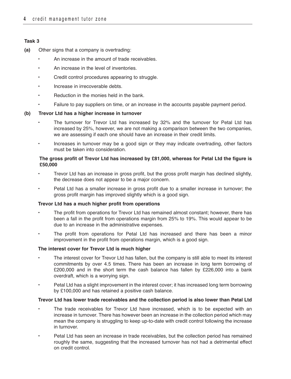- **(a)** Other signs that a company is overtrading:
	- An increase in the amount of trade receivables.
	- An increase in the level of inventories.
	- Credit control procedures appearing to struggle.
	- Increase in irrecoverable debts.
	- Reduction in the monies held in the bank.
	- Failure to pay suppliers on time, or an increase in the accounts payable payment period.

### **(b) Trevor Ltd has a higher increase in turnover**

- The turnover for Trevor Ltd has increased by 32% and the turnover for Petal Ltd has increased by 25%, however, we are not making a comparison between the two companies, we are assessing if each one should have an increase in their credit limits.
- Increases in turnover may be a good sign or they may indicate overtrading, other factors must be taken into consideration.

### **The gross profit of Trevor Ltd has increased by £81,000, whereas for Petal Ltd the figure is £50,000**

- Trevor Ltd has an increase in gross profit, but the gross profit margin has declined slightly, the decrease does not appear to be a major concern.
- Petal Ltd has a smaller increase in gross profit due to a smaller increase in turnover; the gross profit margin has improved slightly which is a good sign.

### **Trevor Ltd has a much higher profit from operations**

- The profit from operations for Trevor Ltd has remained almost constant; however, there has been a fall in the profit from operations margin from 25% to 19%. This would appear to be due to an increase in the administrative expenses.
- The profit from operations for Petal Ltd has increased and there has been a minor improvement in the profit from operations margin, which is a good sign.

### **The interest cover for Trevor Ltd is much higher**

- The interest cover for Trevor Ltd has fallen, but the company is still able to meet its interest commitments by over 4.5 times. There has been an increase in long term borrowing of £200,000 and in the short term the cash balance has fallen by £226,000 into a bank overdraft, which is a worrying sign.
- Petal Ltd has a slight improvement in the interest cover; it has increased long term borrowing by £100,000 and has retained a positive cash balance.

### **Trevor Ltd has lower trade receivables and the collection period is also lower than Petal Ltd**

- The trade receivables for Trevor Ltd have increased, which is to be expected with an increase in turnover. There has however been an increase in the collection period which may mean the company is struggling to keep up-to-date with credit control following the increase in turnover.
- Petal Ltd has seen an increase in trade receivables, but the collection period has remained roughly the same, suggesting that the increased turnover has not had a detrimental effect on credit control.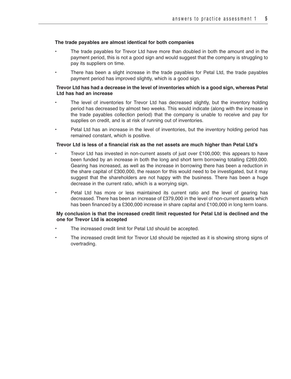### **The trade payables are almost identical for both companies**

- The trade payables for Trevor Ltd have more than doubled in both the amount and in the payment period, this is not a good sign and would suggest that the company is struggling to pay its suppliers on time.
- There has been a slight increase in the trade payables for Petal Ltd, the trade payables payment period has improved slightly, which is a good sign.

### **Trevor Ltd has had a decrease in the level of inventories which is a good sign, whereas Petal Ltd has had an increase**

- The level of inventories for Trevor Ltd has decreased slightly, but the inventory holding period has decreased by almost two weeks. This would indicate (along with the increase in the trade payables collection period) that the company is unable to receive and pay for supplies on credit, and is at risk of running out of inventories.
- Petal Ltd has an increase in the level of inventories, but the inventory holding period has remained constant, which is positive.

### **Trevor Ltd is less of a financial risk as the net assets are much higher than Petal Ltd's**

- Trevor Ltd has invested in non-current assets of just over £100,000; this appears to have been funded by an increase in both the long and short term borrowing totalling £269,000. Gearing has increased, as well as the increase in borrowing there has been a reduction in the share capital of £300,000, the reason for this would need to be investigated, but it may suggest that the shareholders are not happy with the business. There has been a huge decrease in the current ratio, which is a worrying sign.
- Petal Ltd has more or less maintained its current ratio and the level of gearing has decreased. There has been an increase of £379,000 in the level of non-current assets which has been financed by a £300,000 increase in share capital and £100,000 in long term loans.

### **My conclusion is that the increased credit limit requested for Petal Ltd is declined and the one for Trevor Ltd is accepted**

- The increased credit limit for Petal Ltd should be accepted.
- The increased credit limit for Trevor Ltd should be rejected as it is showing strong signs of overtrading.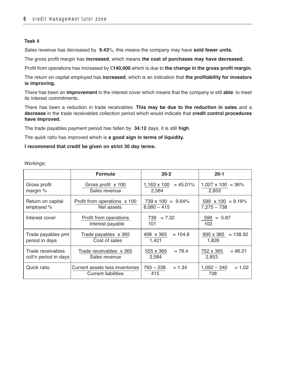Sales revenue has decreased by **9.43**%, this means the company may have **sold fewer units.**

The gross profit margin has **increased**, which means **the cost of purchases may have decreased.**

Profit from operations has increased by £**140,000** which is due to **the change in the gross profit margin.**

The return on capital employed has **increased**, which is an indication that **the profitability for investors is improving.**

There has been an **improvement** in the interest cover which means that the company is still **able** to meet its interest commitments.

There has been a reduction in trade receivables. **This may be due to the reduction in sales** and a **decrease** in the trade receivables collection period which would indicate that **credit control procedures have improved.** 

The trade payables payment period has fallen by **34.12** days, it is still **high**.

The quick ratio has improved which is **a good sign in terms of liquidity.**

### **I recommend that credit be given on strict 30 day terms.**

Workinas:

|                                            | Formula                                                       | $20 - 2$                                   | $20 - 1$                                  |
|--------------------------------------------|---------------------------------------------------------------|--------------------------------------------|-------------------------------------------|
| Gross profit<br>margin $%$                 | Gross profit x 100<br>Sales revenue                           | $= 45.01\%$<br>1,163 x 100<br>2,584        | $1,027 \times 100 = 36\%$<br>2,853        |
| Return on capital<br>employed %            | Profit from operations x 100<br>Net assets                    | $739 \times 100 = 9.64\%$<br>$8,080 - 415$ | 599 $\times$ 100 = 9.16%<br>$7,275 - 738$ |
| Interest cover                             | Profit from operations<br>Interest payable                    | 739<br>$= 7.32$<br>101                     | $599 = 5.87$<br>102                       |
| Trade payables pmt<br>period in days       | Trade payables x 365<br>Cost of sales                         | 408 x 365<br>$= 104.8$<br>1.421            | 695 x 365<br>$= 138.92$<br>1,826          |
| Trade receivables<br>coll'n period in days | Trade receivables x 365<br>Sales revenue                      | 555 x 365<br>$= 78.4$<br>2,584             | $= 96.21$<br>752 x 365<br>2,853           |
| Quick ratio                                | Current assets less inventories<br><b>Current liabilities</b> | 793 - 238<br>$= 1.34$<br>415               | $1,092 - 340$<br>$= 1.02$<br>738          |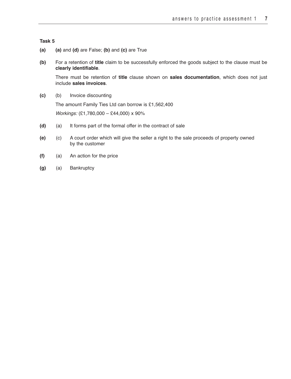- **(a) (a)** and **(d)** are False; **(b)** and **(c)** are True
- **(b)** For a retention of **title** claim to be successfully enforced the goods subject to the clause must be **clearly identifiable**.

There must be retention of **title** clause shown on **sales documentation**, which does not just include **sales invoices**.

**(c)** (b) Invoice discounting

The amount Family Ties Ltd can borrow is £1,562,400

Workings: (£1,780,000 – £44,000) x 90%

- **(d)** (a) It forms part of the formal offer in the contract of sale
- **(e)** (c) A court order which will give the seller a right to the sale proceeds of property owned by the customer
- **(f)** (a) An action for the price
- **(g)** (a) Bankruptcy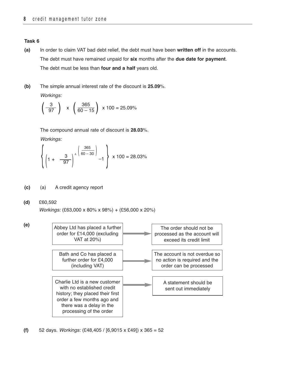- **(a)** In order to claim VAT bad debt relief, the debt must have been **written off** in the accounts. The debt must have remained unpaid for **six** months after the **due date for payment**. The debt must be less than **four and a half** years old.
- **(b)** The simple annual interest rate of the discount is **25.09**%.

Workings:

$$
\left(\frac{3}{97}\right)
$$
 x  $\left(\frac{365}{60-15}\right)$  x 100 = 25.09%

The compound annual rate of discount is **28.03**%.

Workings:

$$
\left\{ \left( 1 + \frac{3}{97} \right)^{1} \left| \frac{365}{60 - 30} \right| -1 \right\} \times 100 = 28.03\%
$$

- **(c)** (a) A credit agency report
- **(d)** £60,592

Workings: (£63,000 x 80% x 98%) + (£56,000 x 20%)



**(f)** 52 days. Workings: (£48,405 / [6,9015 x £49]) x 365 = 52